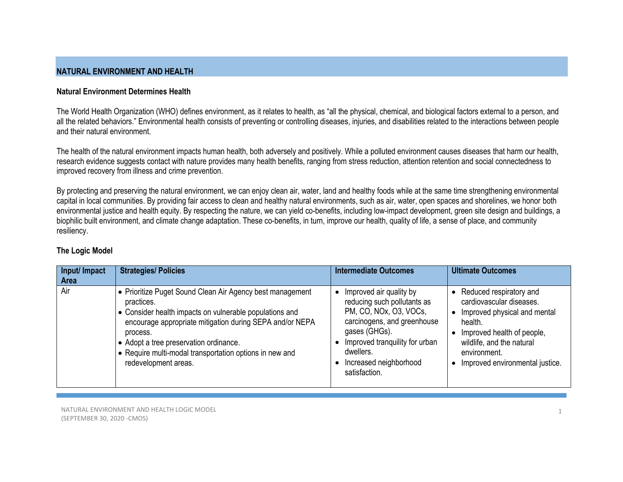# **NATURAL ENVIRONMENT AND HEALTH**

### **Natural Environment Determines Health**

The World Health Organization (WHO) defines environment, as it relates to health, as "all the physical, chemical, and biological factors external to a person, and all the related behaviors." Environmental health consists of preventing or controlling diseases, injuries, and disabilities related to the interactions between people and their natural environment.

The health of the natural environment impacts human health, both adversely and positively. While a polluted environment causes diseases that harm our health, research evidence suggests contact with nature provides many health benefits, ranging from stress reduction, attention retention and social connectedness to improved recovery from illness and crime prevention.

By protecting and preserving the natural environment, we can enjoy clean air, water, land and healthy foods while at the same time strengthening environmental capital in local communities. By providing fair access to clean and healthy natural environments, such as air, water, open spaces and shorelines, we honor both environmental justice and health equity. By respecting the nature, we can yield co-benefits, including low-impact development, green site design and buildings, a biophilic built environment, and climate change adaptation. These co-benefits, in turn, improve our health, quality of life, a sense of place, and community resiliency.

| Input/ Impact<br><b>Area</b> | <b>Strategies/ Policies</b>                                                                                                                                                                                                                                                                                                                     | <b>Intermediate Outcomes</b>                                                                                                                                                                                               | <b>Ultimate Outcomes</b>                                                                                                                                                                                                               |
|------------------------------|-------------------------------------------------------------------------------------------------------------------------------------------------------------------------------------------------------------------------------------------------------------------------------------------------------------------------------------------------|----------------------------------------------------------------------------------------------------------------------------------------------------------------------------------------------------------------------------|----------------------------------------------------------------------------------------------------------------------------------------------------------------------------------------------------------------------------------------|
| Air                          | • Prioritize Puget Sound Clean Air Agency best management<br>practices.<br>• Consider health impacts on vulnerable populations and<br>encourage appropriate mitigation during SEPA and/or NEPA<br>process.<br>● Adopt a tree preservation ordinance.<br>$\bullet$ Require multi-modal transportation options in new and<br>redevelopment areas. | Improved air quality by<br>reducing such pollutants as<br>PM, CO, NOx, O3, VOCs,<br>carcinogens, and greenhouse<br>gases (GHGs).<br>Improved tranquility for urban<br>dwellers.<br>Increased neighborhood<br>satisfaction. | Reduced respiratory and<br>$\bullet$<br>cardiovascular diseases.<br>Improved physical and mental<br>health.<br>Improved health of people,<br>wildlife, and the natural<br>environment.<br>Improved environmental justice.<br>$\bullet$ |

# **The Logic Model**

NATURAL ENVIRONMENT AND HEALTH LOGIC MODEL (SEPTEMBER 30, 2020 -CMOS)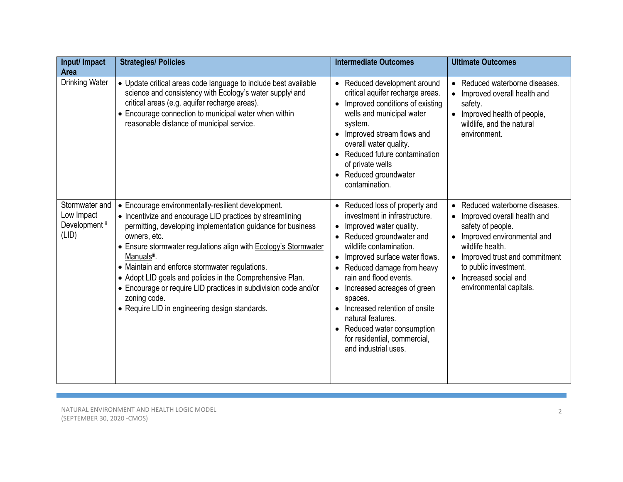| Input/ Impact<br><b>Area</b>                            | <b>Strategies/ Policies</b>                                                                                                                                                                                                                                                                                                                                                                                                                                                                                                                 | <b>Intermediate Outcomes</b>                                                                                                                                                                                                                                                                                                                                                                                                                                             | <b>Ultimate Outcomes</b>                                                                                                                                                                                                                                                      |
|---------------------------------------------------------|---------------------------------------------------------------------------------------------------------------------------------------------------------------------------------------------------------------------------------------------------------------------------------------------------------------------------------------------------------------------------------------------------------------------------------------------------------------------------------------------------------------------------------------------|--------------------------------------------------------------------------------------------------------------------------------------------------------------------------------------------------------------------------------------------------------------------------------------------------------------------------------------------------------------------------------------------------------------------------------------------------------------------------|-------------------------------------------------------------------------------------------------------------------------------------------------------------------------------------------------------------------------------------------------------------------------------|
| <b>Drinking Water</b>                                   | • Update critical areas code language to include best available<br>science and consistency with Ecology's water supplyi and<br>critical areas (e.g. aquifer recharge areas).<br>• Encourage connection to municipal water when within<br>reasonable distance of municipal service.                                                                                                                                                                                                                                                          | • Reduced development around<br>critical aquifer recharge areas.<br>Improved conditions of existing<br>wells and municipal water<br>system.<br>Improved stream flows and<br>overall water quality.<br>• Reduced future contamination<br>of private wells<br>Reduced groundwater<br>contamination.                                                                                                                                                                        | Reduced waterborne diseases.<br>$\bullet$<br>Improved overall health and<br>safety.<br>• Improved health of people,<br>wildlife, and the natural<br>environment.                                                                                                              |
| Stormwater and<br>Low Impact<br>Development ii<br>(LID) | • Encourage environmentally-resilient development.<br>• Incentivize and encourage LID practices by streamlining<br>permitting, developing implementation guidance for business<br>owners, etc.<br>• Ensure stormwater regulations align with <b>Ecology's Stormwater</b><br>Manualsiii.<br>• Maintain and enforce stormwater regulations.<br>• Adopt LID goals and policies in the Comprehensive Plan.<br>• Encourage or require LID practices in subdivision code and/or<br>zoning code.<br>• Require LID in engineering design standards. | • Reduced loss of property and<br>investment in infrastructure.<br>Improved water quality.<br>$\bullet$<br>Reduced groundwater and<br>wildlife contamination.<br>Improved surface water flows.<br>$\bullet$<br>Reduced damage from heavy<br>rain and flood events.<br>• Increased acreages of green<br>spaces.<br>Increased retention of onsite<br>$\bullet$<br>natural features.<br>• Reduced water consumption<br>for residential, commercial,<br>and industrial uses. | Reduced waterborne diseases.<br>$\bullet$<br>• Improved overall health and<br>safety of people.<br>Improved environmental and<br>wildlife health.<br>Improved trust and commitment<br>$\bullet$<br>to public investment.<br>• Increased social and<br>environmental capitals. |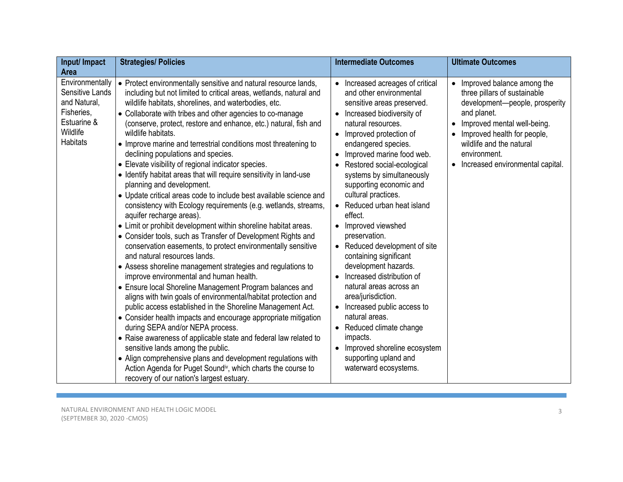| Input/ Impact                                                                                                  | <b>Strategies/ Policies</b>                                                                                                                                                                                                                                                                                                                                                                                                                                                                                                                                                                                                                                                                                                                                                                                                                                                                                                                                                                                                                                                                                                                                                                                                                                                                                                                                                                                                                                                                                                                                                                                                                                                                                                                  | <b>Intermediate Outcomes</b>                                                                                                                                                                                                                                                                                                                                                                                                                                                                                                                                                                                                                                                                                                                                                                 | <b>Ultimate Outcomes</b>                                                                                                                                                                                                                                               |
|----------------------------------------------------------------------------------------------------------------|----------------------------------------------------------------------------------------------------------------------------------------------------------------------------------------------------------------------------------------------------------------------------------------------------------------------------------------------------------------------------------------------------------------------------------------------------------------------------------------------------------------------------------------------------------------------------------------------------------------------------------------------------------------------------------------------------------------------------------------------------------------------------------------------------------------------------------------------------------------------------------------------------------------------------------------------------------------------------------------------------------------------------------------------------------------------------------------------------------------------------------------------------------------------------------------------------------------------------------------------------------------------------------------------------------------------------------------------------------------------------------------------------------------------------------------------------------------------------------------------------------------------------------------------------------------------------------------------------------------------------------------------------------------------------------------------------------------------------------------------|----------------------------------------------------------------------------------------------------------------------------------------------------------------------------------------------------------------------------------------------------------------------------------------------------------------------------------------------------------------------------------------------------------------------------------------------------------------------------------------------------------------------------------------------------------------------------------------------------------------------------------------------------------------------------------------------------------------------------------------------------------------------------------------------|------------------------------------------------------------------------------------------------------------------------------------------------------------------------------------------------------------------------------------------------------------------------|
| <b>Area</b>                                                                                                    |                                                                                                                                                                                                                                                                                                                                                                                                                                                                                                                                                                                                                                                                                                                                                                                                                                                                                                                                                                                                                                                                                                                                                                                                                                                                                                                                                                                                                                                                                                                                                                                                                                                                                                                                              |                                                                                                                                                                                                                                                                                                                                                                                                                                                                                                                                                                                                                                                                                                                                                                                              |                                                                                                                                                                                                                                                                        |
| Environmentally<br>Sensitive Lands<br>and Natural,<br>Fisheries,<br>Estuarine &<br>Wildlife<br><b>Habitats</b> | • Protect environmentally sensitive and natural resource lands,<br>including but not limited to critical areas, wetlands, natural and<br>wildlife habitats, shorelines, and waterbodies, etc.<br>• Collaborate with tribes and other agencies to co-manage<br>(conserve, protect, restore and enhance, etc.) natural, fish and<br>wildlife habitats.<br>• Improve marine and terrestrial conditions most threatening to<br>declining populations and species.<br>• Elevate visibility of regional indicator species.<br>• Identify habitat areas that will require sensitivity in land-use<br>planning and development.<br>• Update critical areas code to include best available science and<br>consistency with Ecology requirements (e.g. wetlands, streams,<br>aquifer recharge areas).<br>• Limit or prohibit development within shoreline habitat areas.<br>• Consider tools, such as Transfer of Development Rights and<br>conservation easements, to protect environmentally sensitive<br>and natural resources lands.<br>• Assess shoreline management strategies and regulations to<br>improve environmental and human health.<br>• Ensure local Shoreline Management Program balances and<br>aligns with twin goals of environmental/habitat protection and<br>public access established in the Shoreline Management Act.<br>• Consider health impacts and encourage appropriate mitigation<br>during SEPA and/or NEPA process.<br>• Raise awareness of applicable state and federal law related to<br>sensitive lands among the public.<br>• Align comprehensive plans and development regulations with<br>Action Agenda for Puget Sound <sup>iv</sup> , which charts the course to<br>recovery of our nation's largest estuary. | • Increased acreages of critical<br>and other environmental<br>sensitive areas preserved.<br>Increased biodiversity of<br>$\bullet$<br>natural resources.<br>Improved protection of<br>endangered species.<br>Improved marine food web.<br>$\bullet$<br>Restored social-ecological<br>systems by simultaneously<br>supporting economic and<br>cultural practices.<br>Reduced urban heat island<br>effect.<br>• Improved viewshed<br>preservation.<br>• Reduced development of site<br>containing significant<br>development hazards.<br>Increased distribution of<br>natural areas across an<br>area/jurisdiction.<br>Increased public access to<br>natural areas.<br>• Reduced climate change<br>impacts.<br>Improved shoreline ecosystem<br>supporting upland and<br>waterward ecosystems. | Improved balance among the<br>three pillars of sustainable<br>development-people, prosperity<br>and planet.<br>Improved mental well-being.<br>$\bullet$<br>Improved health for people,<br>wildlife and the natural<br>environment.<br>Increased environmental capital. |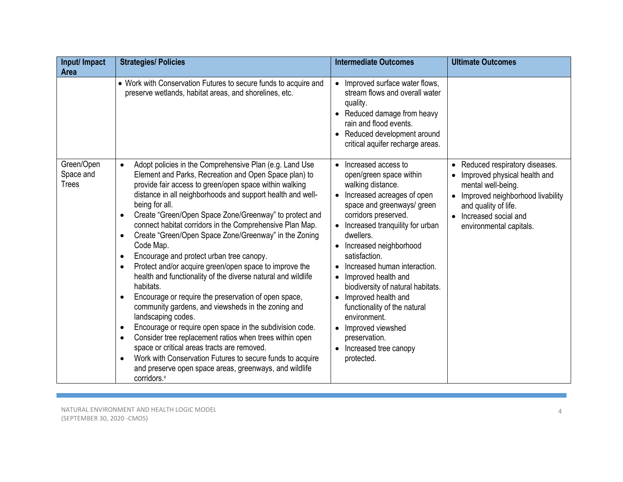| Input/ Impact<br><b>Area</b>            | <b>Strategies/ Policies</b>                                                                                                                                                                                                                                                                                                                                                                                                                                                                                                                                                                                                                                                                                                                                                                                                                                                                                                                                                                                                                                                                                                                                                                                                | <b>Intermediate Outcomes</b>                                                                                                                                                                                                                                                                                                                                                                                                                                                                                          | <b>Ultimate Outcomes</b>                                                                                                                                                                             |
|-----------------------------------------|----------------------------------------------------------------------------------------------------------------------------------------------------------------------------------------------------------------------------------------------------------------------------------------------------------------------------------------------------------------------------------------------------------------------------------------------------------------------------------------------------------------------------------------------------------------------------------------------------------------------------------------------------------------------------------------------------------------------------------------------------------------------------------------------------------------------------------------------------------------------------------------------------------------------------------------------------------------------------------------------------------------------------------------------------------------------------------------------------------------------------------------------------------------------------------------------------------------------------|-----------------------------------------------------------------------------------------------------------------------------------------------------------------------------------------------------------------------------------------------------------------------------------------------------------------------------------------------------------------------------------------------------------------------------------------------------------------------------------------------------------------------|------------------------------------------------------------------------------------------------------------------------------------------------------------------------------------------------------|
|                                         | • Work with Conservation Futures to secure funds to acquire and<br>preserve wetlands, habitat areas, and shorelines, etc.                                                                                                                                                                                                                                                                                                                                                                                                                                                                                                                                                                                                                                                                                                                                                                                                                                                                                                                                                                                                                                                                                                  | Improved surface water flows,<br>stream flows and overall water<br>quality.<br>Reduced damage from heavy<br>rain and flood events.<br>• Reduced development around<br>critical aquifer recharge areas.                                                                                                                                                                                                                                                                                                                |                                                                                                                                                                                                      |
| Green/Open<br>Space and<br><b>Trees</b> | Adopt policies in the Comprehensive Plan (e.g. Land Use<br>$\bullet$<br>Element and Parks, Recreation and Open Space plan) to<br>provide fair access to green/open space within walking<br>distance in all neighborhoods and support health and well-<br>being for all.<br>Create "Green/Open Space Zone/Greenway" to protect and<br>$\bullet$<br>connect habitat corridors in the Comprehensive Plan Map.<br>Create "Green/Open Space Zone/Greenway" in the Zoning<br>$\bullet$<br>Code Map.<br>Encourage and protect urban tree canopy.<br>$\bullet$<br>Protect and/or acquire green/open space to improve the<br>$\bullet$<br>health and functionality of the diverse natural and wildlife<br>habitats.<br>Encourage or require the preservation of open space,<br>$\bullet$<br>community gardens, and viewsheds in the zoning and<br>landscaping codes.<br>Encourage or require open space in the subdivision code.<br>$\bullet$<br>Consider tree replacement ratios when trees within open<br>$\bullet$<br>space or critical areas tracts are removed.<br>Work with Conservation Futures to secure funds to acquire<br>$\bullet$<br>and preserve open space areas, greenways, and wildlife<br>corridors. <sup>v</sup> | • Increased access to<br>open/green space within<br>walking distance.<br>Increased acreages of open<br>space and greenways/ green<br>corridors preserved.<br>• Increased tranquility for urban<br>dwellers.<br>Increased neighborhood<br>$\bullet$<br>satisfaction.<br>Increased human interaction.<br>Improved health and<br>biodiversity of natural habitats.<br>Improved health and<br>functionality of the natural<br>environment.<br>Improved viewshed<br>preservation.<br>• Increased tree canopy<br>protected. | • Reduced respiratory diseases.<br>Improved physical health and<br>mental well-being.<br>Improved neighborhood livability<br>and quality of life.<br>Increased social and<br>environmental capitals. |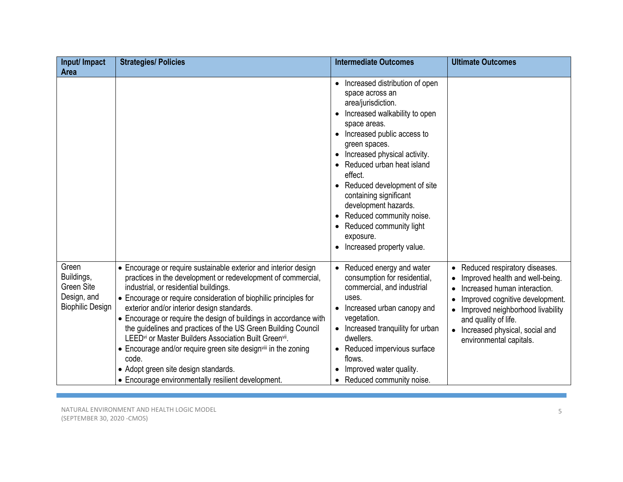| Input/ Impact                                                                      | <b>Strategies/ Policies</b>                                                                                                                                                                                                                                                                                                                                                                                                                                                                                                                                                                                                                                                                             | <b>Intermediate Outcomes</b>                                                                                                                                                                                                                                                                                                                                                                                                            | <b>Ultimate Outcomes</b>                                                                                                                                                                                                                                             |
|------------------------------------------------------------------------------------|---------------------------------------------------------------------------------------------------------------------------------------------------------------------------------------------------------------------------------------------------------------------------------------------------------------------------------------------------------------------------------------------------------------------------------------------------------------------------------------------------------------------------------------------------------------------------------------------------------------------------------------------------------------------------------------------------------|-----------------------------------------------------------------------------------------------------------------------------------------------------------------------------------------------------------------------------------------------------------------------------------------------------------------------------------------------------------------------------------------------------------------------------------------|----------------------------------------------------------------------------------------------------------------------------------------------------------------------------------------------------------------------------------------------------------------------|
| <b>Area</b>                                                                        |                                                                                                                                                                                                                                                                                                                                                                                                                                                                                                                                                                                                                                                                                                         |                                                                                                                                                                                                                                                                                                                                                                                                                                         |                                                                                                                                                                                                                                                                      |
|                                                                                    |                                                                                                                                                                                                                                                                                                                                                                                                                                                                                                                                                                                                                                                                                                         | • Increased distribution of open<br>space across an<br>area/jurisdiction.<br>Increased walkability to open<br>space areas.<br>• Increased public access to<br>green spaces.<br>Increased physical activity.<br>Reduced urban heat island<br>effect.<br>Reduced development of site<br>containing significant<br>development hazards.<br>Reduced community noise.<br>• Reduced community light<br>exposure.<br>Increased property value. |                                                                                                                                                                                                                                                                      |
| Green<br>Buildings,<br><b>Green Site</b><br>Design, and<br><b>Biophilic Design</b> | • Encourage or require sustainable exterior and interior design<br>practices in the development or redevelopment of commercial,<br>industrial, or residential buildings.<br>• Encourage or require consideration of biophilic principles for<br>exterior and/or interior design standards.<br>• Encourage or require the design of buildings in accordance with<br>the guidelines and practices of the US Green Building Council<br>LEED <sup>vi</sup> or Master Builders Association Built Green <sup>vii</sup> .<br>• Encourage and/or require green site design <sup>viii</sup> in the zoning<br>code.<br>• Adopt green site design standards.<br>• Encourage environmentally resilient development. | • Reduced energy and water<br>consumption for residential,<br>commercial, and industrial<br>uses.<br>• Increased urban canopy and<br>vegetation.<br>• Increased tranquility for urban<br>dwellers.<br>• Reduced impervious surface<br>flows.<br>Improved water quality.<br>$\bullet$<br>Reduced community noise.                                                                                                                        | • Reduced respiratory diseases.<br>Improved health and well-being.<br>• Increased human interaction.<br>Improved cognitive development.<br>• Improved neighborhood livability<br>and quality of life.<br>• Increased physical, social and<br>environmental capitals. |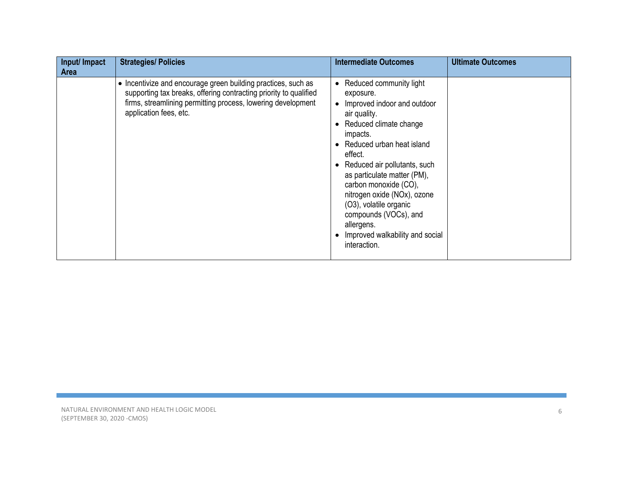| Input/ Impact<br>Area | <b>Strategies/ Policies</b>                                                                                                                                                                                                  | <b>Intermediate Outcomes</b>                                                                                                                                                                                                                                                                                                                                                                                                | <b>Ultimate Outcomes</b> |
|-----------------------|------------------------------------------------------------------------------------------------------------------------------------------------------------------------------------------------------------------------------|-----------------------------------------------------------------------------------------------------------------------------------------------------------------------------------------------------------------------------------------------------------------------------------------------------------------------------------------------------------------------------------------------------------------------------|--------------------------|
|                       | • Incentivize and encourage green building practices, such as<br>supporting tax breaks, offering contracting priority to qualified<br>firms, streamlining permitting process, lowering development<br>application fees, etc. | Reduced community light<br>$\bullet$<br>exposure.<br>Improved indoor and outdoor<br>air quality.<br>Reduced climate change<br>impacts.<br>• Reduced urban heat island<br>effect.<br>Reduced air pollutants, such<br>as particulate matter (PM),<br>carbon monoxide (CO),<br>nitrogen oxide (NOx), ozone<br>(O3), volatile organic<br>compounds (VOCs), and<br>allergens.<br>Improved walkability and social<br>interaction. |                          |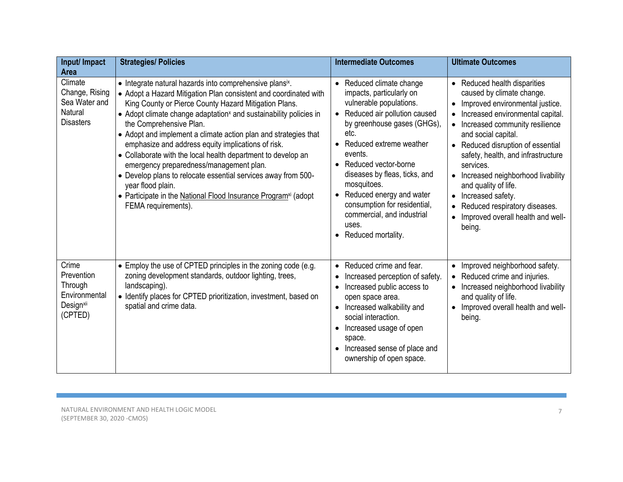| Input/ Impact<br><b>Area</b>                                                        | <b>Strategies/ Policies</b>                                                                                                                                                                                                                                                                                                                                                                                                                                                                                                                                                                                                                                                                                                     | <b>Intermediate Outcomes</b>                                                                                                                                                                                                                                                                                                                                                                    | <b>Ultimate Outcomes</b>                                                                                                                                                                                                                                                                                                                                                                                                                                       |
|-------------------------------------------------------------------------------------|---------------------------------------------------------------------------------------------------------------------------------------------------------------------------------------------------------------------------------------------------------------------------------------------------------------------------------------------------------------------------------------------------------------------------------------------------------------------------------------------------------------------------------------------------------------------------------------------------------------------------------------------------------------------------------------------------------------------------------|-------------------------------------------------------------------------------------------------------------------------------------------------------------------------------------------------------------------------------------------------------------------------------------------------------------------------------------------------------------------------------------------------|----------------------------------------------------------------------------------------------------------------------------------------------------------------------------------------------------------------------------------------------------------------------------------------------------------------------------------------------------------------------------------------------------------------------------------------------------------------|
| Climate<br>Change, Rising<br>Sea Water and<br><b>Natural</b><br><b>Disasters</b>    | • Integrate natural hazards into comprehensive plansix.<br>• Adopt a Hazard Mitigation Plan consistent and coordinated with<br>King County or Pierce County Hazard Mitigation Plans.<br>• Adopt climate change adaptation <sup>x</sup> and sustainability policies in<br>the Comprehensive Plan.<br>• Adopt and implement a climate action plan and strategies that<br>emphasize and address equity implications of risk.<br>• Collaborate with the local health department to develop an<br>emergency preparedness/management plan.<br>• Develop plans to relocate essential services away from 500-<br>year flood plain.<br>• Participate in the National Flood Insurance Program <sup>xi</sup> (adopt<br>FEMA requirements). | • Reduced climate change<br>impacts, particularly on<br>vulnerable populations.<br>Reduced air pollution caused<br>by greenhouse gases (GHGs),<br>etc.<br>Reduced extreme weather<br>events.<br>Reduced vector-borne<br>diseases by fleas, ticks, and<br>mosquitoes.<br>Reduced energy and water<br>consumption for residential,<br>commercial, and industrial<br>uses.<br>• Reduced mortality. | • Reduced health disparities<br>caused by climate change.<br>Improved environmental justice.<br>Increased environmental capital.<br>Increased community resilience<br>and social capital.<br>Reduced disruption of essential<br>safety, health, and infrastructure<br>services.<br>Increased neighborhood livability<br>$\bullet$<br>and quality of life.<br>Increased safety.<br>Reduced respiratory diseases.<br>Improved overall health and well-<br>being. |
| Crime<br>Prevention<br>Through<br>Environmental<br>Design <sup>xii</sup><br>(CPTED) | • Employ the use of CPTED principles in the zoning code (e.g.<br>zoning development standards, outdoor lighting, trees,<br>landscaping).<br>• Identify places for CPTED prioritization, investment, based on<br>spatial and crime data.                                                                                                                                                                                                                                                                                                                                                                                                                                                                                         | Reduced crime and fear.<br>Increased perception of safety.<br>Increased public access to<br>open space area.<br>Increased walkability and<br>$\bullet$<br>social interaction.<br>Increased usage of open<br>space.<br>Increased sense of place and<br>ownership of open space.                                                                                                                  | • Improved neighborhood safety.<br>Reduced crime and injuries.<br>Increased neighborhood livability<br>and quality of life.<br>Improved overall health and well-<br>$\bullet$<br>being.                                                                                                                                                                                                                                                                        |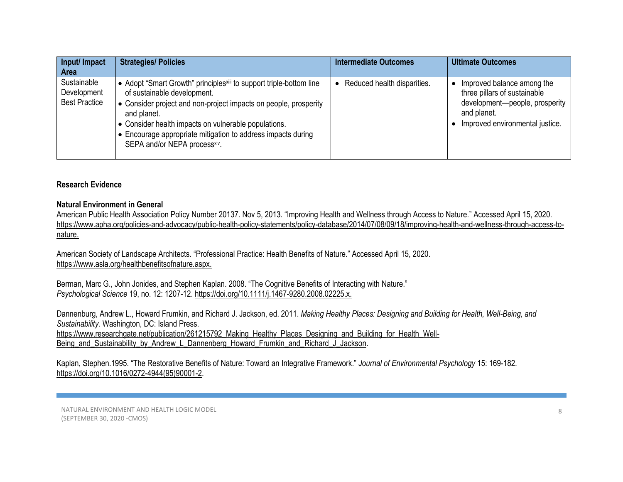| Input/ Impact<br><b>Area</b>                       | <b>Strategies/ Policies</b>                                                                                                                                                                                                                                                                                                                                              | <b>Intermediate Outcomes</b> | <b>Ultimate Outcomes</b>                                                                                                                       |
|----------------------------------------------------|--------------------------------------------------------------------------------------------------------------------------------------------------------------------------------------------------------------------------------------------------------------------------------------------------------------------------------------------------------------------------|------------------------------|------------------------------------------------------------------------------------------------------------------------------------------------|
| Sustainable<br>Development<br><b>Best Practice</b> | ● Adopt "Smart Growth" principles <sup>xiii</sup> to support triple-bottom line<br>of sustainable development.<br>$\bullet$ Consider project and non-project impacts on people, prosperity<br>and planet.<br><b>.</b> Consider health impacts on vulnerable populations.<br>• Encourage appropriate mitigation to address impacts during<br>SEPA and/or NEPA processxiv. | Reduced health disparities.  | Improved balance among the<br>three pillars of sustainable<br>development-people, prosperity<br>and planet.<br>Improved environmental justice. |

### **Research Evidence**

### **Natural Environment in General**

American Public Health Association Policy Number 20137. Nov 5, 2013. "Improving Health and Wellness through Access to Nature." Accessed April 15, 2020. [https://www.apha.org/policies-and-advocacy/public-health-policy-statements/policy-database/2014/07/08/09/18/improving-health-and-wellness-through-access-to](https://www.apha.org/policies-and-advocacy/public-health-policy-statements/policy-database/2014/07/08/09/18/improving-health-and-wellness-through-access-to-nature)[nature.](https://www.apha.org/policies-and-advocacy/public-health-policy-statements/policy-database/2014/07/08/09/18/improving-health-and-wellness-through-access-to-nature)

American Society of Landscape Architects. "Professional Practice: Health Benefits of Nature." Accessed April 15, 2020. [https://www.asla.org/healthbenefitsofnature.aspx.](https://www.asla.org/healthbenefitsofnature.aspx)

Berman, Marc G., John Jonides, and Stephen Kaplan. 2008. "The Cognitive Benefits of Interacting with Nature." *Psychological Science* 19, no. 12: 1207-12. https://doi.or[g/10.1111/j.1467-9280.2008.02225.x.](https://doi.org/10.1111/j.1467-9280.2008.02225.x) 

Dannenburg, Andrew L., Howard Frumkin, and Richard J. Jackson, ed. 2011. *Making Healthy Places: Designing and Building for Health, Well-Being, and Sustainability.* Washington, DC: Island Press. [https://www.researchgate.net/publication/261215792\\_Making\\_Healthy\\_Places\\_Designing\\_and\\_Building\\_for\\_Health\\_Well-](https://www.researchgate.net/publication/261215792_Making_Healthy_Places_Designing_and_Building_for_Health_Well-Being_and_Sustainability_by_Andrew_L_Dannenberg_Howard_Frumkin_and_Richard_J_Jackson)[Being\\_and\\_Sustainability\\_by\\_Andrew\\_L\\_Dannenberg\\_Howard\\_Frumkin\\_and\\_Richard\\_J\\_Jackson.](https://www.researchgate.net/publication/261215792_Making_Healthy_Places_Designing_and_Building_for_Health_Well-Being_and_Sustainability_by_Andrew_L_Dannenberg_Howard_Frumkin_and_Richard_J_Jackson)

Kaplan, Stephen.1995. "The Restorative Benefits of Nature: Toward an Integrative Framework." *Journal of Environmental Psychology* 15: 169-182. [https://doi.org/10.1016/0272-4944\(95\)90001-2.](https://doi.org/10.1016/0272-4944(95)90001-2)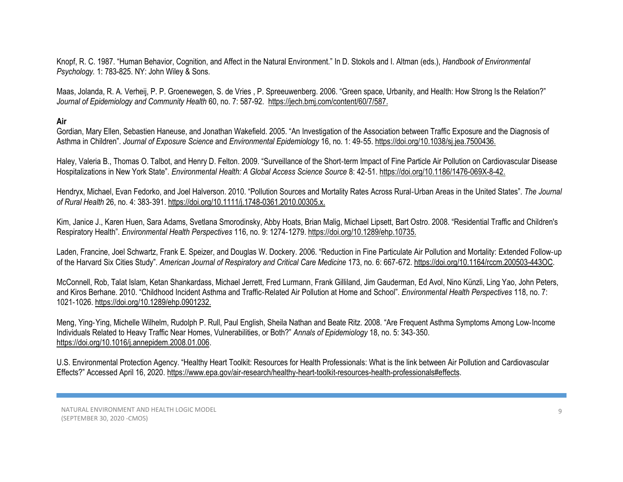Knopf, R. C. 1987. "Human Behavior, Cognition, and Affect in the Natural Environment." In D. Stokols and I. Altman (eds.), *Handbook of Environmental Psychology.* 1: 783-825. NY: John Wiley & Sons.

[Maas, Jo](https://www.ncbi.nlm.nih.gov/pubmed/?term=Maas%20J%5BAuthor%5D&cauthor=true&cauthor_uid=16790830)landa, R. A. [Verheij,](https://www.ncbi.nlm.nih.gov/pubmed/?term=Verheij%20RA%5BAuthor%5D&cauthor=true&cauthor_uid=16790830) P. P. [Groenewegen,](https://www.ncbi.nlm.nih.gov/pubmed/?term=Groenewegen%20PP%5BAuthor%5D&cauthor=true&cauthor_uid=16790830) S. [de Vries ,](https://www.ncbi.nlm.nih.gov/pubmed/?term=de%20Vries%20S%5BAuthor%5D&cauthor=true&cauthor_uid=16790830) P. [Spreeuwenberg](https://www.ncbi.nlm.nih.gov/pubmed/?term=Spreeuwenberg%20P%5BAuthor%5D&cauthor=true&cauthor_uid=16790830). 2006. "Green space, Urbanity, and Health: How Strong Is the Relation?" *Journal of Epidemiology and Community Health* 60, no. 7: 587-92. [https://jech.bmj.com/content/60/7/587.](https://jech.bmj.com/content/60/7/587)

**Air**

Gordian, Mary Ellen, Sebastien Haneuse, and Jonathan Wakefield. 2005. "An Investigation of the Association between Traffic Exposure and the Diagnosis of Asthma in Children". *Journal of Exposure Science* and *[Environmental Epidemiology](http://www.google.com/url?sa=t&rct=j&q=j%20expos%20sci%20environ%20epidemiol%2C&source=web&cd=1&cad=rja&ved=0CC8QFjAA&url=http%3A%2F%2Fwww.nature.com%2Fjes%2F&ei=IQyyUc2TIsmsiQLAmIDADA&usg=AFQjCNFG1tX9y8qBB2Dbg6-C2oV-LpV3dg&bvm=bv.47534661,d.cGE)* 16, no. 1: 49‐55. https://doi.org[/10.1038/sj.jea.7500436.](https://doi.org/10.1038/sj.jea.7500436) 

Haley, Valeria B., Thomas O. Talbot, and Henry D. Felton. 2009. "Surveillance of the Short-term Impact of Fine Particle Air Pollution on Cardiovascular Disease Hospitalizations in New York State". *Environmental Health: A Global Access Science Source* 8: 42‐51. https://doi.or[g/10.1186/1476-069X-8-42.](https://doi.org/10.1186/1476-069x-8-42) 

Hendryx, Michael, Evan Fedorko, and Joel Halverson. 2010. "Pollution Sources and Mortality Rates Across Rural‐Urban Areas in the United States". *The Journal of Rural Health* 26, no. 4: 383‐391. https://doi.or[g/10.1111/j.1748-0361.2010.00305.x.](https://doi.org/10.1111/j.1748-0361.2010.00305.x)

Kim, Janice J., Karen Huen, Sara Adams, Svetlana Smorodinsky, Abby Hoats, Brian Malig, Michael Lipsett, Bart Ostro. 2008. "Residential Traffic and Children's Respiratory Health". *Environmental Health Perspectives* 116, no. 9: 1274‐1279. https://doi.or[g/10.1289/ehp.10735.](https://doi.org/10.1289/ehp.10735)

Laden, Francine, Joel Schwartz, Frank E. Speizer, and Douglas W. Dockery. 2006. "Reduction in Fine Particulate Air Pollution and Mortality: Extended Follow‐up of the Harvard Six Cities Study". *American Journal [of Respiratory and Critical](http://www.google.com/url?sa=t&rct=j&q=am.%20j.%20respir.%20crit.%20care%20med&source=web&cd=1&cad=rja&ved=0CC4QFjAA&url=http%3A%2F%2Fwww.atsjournals.org%2Fjournal%2Fajrccm&ei=OQ2yUcKVHYW9iwLqxIDADw&usg=AFQjCNFwX1K917BaCdOGGLrM3ddFGdhomQ&bvm=bv.47534661,d.cGE) Care Medicine* 173, no. 6: 667‐672. https://doi.or[g/10.1164/rccm.200503-443OC.](https://dx.doi.org/10.1164%2Frccm.200503-443OC)

McConnell, Rob, Talat Islam, Ketan Shankardass, Michael Jerrett, Fred Lurmann, Frank Gilliland, Jim Gauderman, Ed Avol, Nino Künzli, Ling Yao, John Peters, and Kiros Berhane. 2010. "Childhood Incident Asthma and Traffic‐Related Air Pollution at Home and School". *Environmental Health Perspectives* 118, no. 7: 1021‐1026. https://doi.org[/10.1289/ehp.0901232.](https://doi.org/10.1289/ehp.0901232) 

Meng, Ying‐Ying, Michelle Wilhelm, Rudolph P. Rull, Paul English, Sheila Nathan and Beate Ritz. 2008. "Are Frequent Asthma Symptoms Among Low‐Income Individuals Related to Heavy Traffic Near Homes, Vulnerabilities, or Both?" *Annals of Epidemiology* 18, no. 5: 343‐350. [https://doi.org/10.1016/j.annepidem.2008.01.006.](https://doi.org/10.1016/j.annepidem.2008.01.006)

U.S. Environmental Protection Agency. "Healthy Heart Toolkit: Resources for Health Professionals: What is the link between Air Pollution and Cardiovascular Effects?" Accessed April 16, 2020. [https://www.epa.gov/air-research/healthy-heart-toolkit-resources-health-professionals#effects.](https://www.epa.gov/air-research/healthy-heart-toolkit-resources-health-professionals#effects)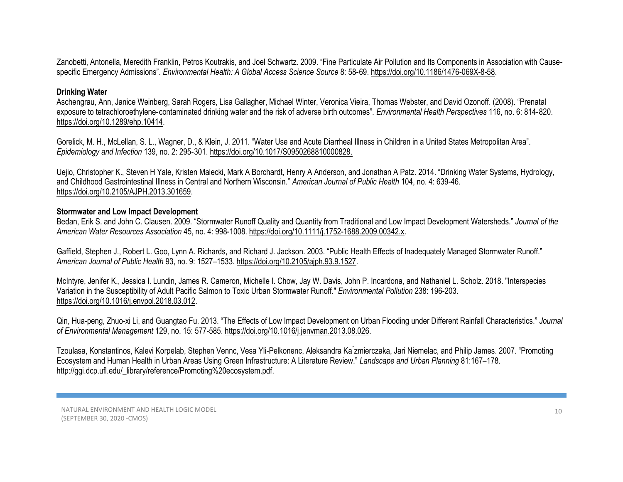Zanobetti, Antonella, Meredith Franklin, Petros Koutrakis, and Joel Schwartz. 2009. "Fine Particulate Air Pollution and Its Components in Association with Cause‐ specific Emergency Admissions". *Environmental Health: A Global Access Science Source* 8: 58‐69. https://doi.or[g/10.1186/1476-069X-8-58.](https://doi.org/10.1186/1476-069x-8-58)

### **Drinking Water**

Aschengrau, Ann, Janice Weinberg, Sarah Rogers, Lisa Gallagher, Michael Winter, Veronica Vieira, Thomas Webster, and David Ozonoff. (2008). "Prenatal exposure to tetrachloroethylene‐contaminated drinking water and the risk of adverse birth outcomes". *Environmental Health Perspectives* 116, no. 6: 814‐820. https://doi.org[/10.1289/ehp.10414.](https://doi.org/10.1289/ehp.10414)

Gorelick, M. H., McLellan, S. L., Wagner, D., & Klein, J. 2011. "Water Use and Acute Diarrheal Illness in Children in a United States Metropolitan Area". *Epidemiology and Infection* 139, no. 2: 295‐301. https://doi.org[/10.1017/S0950268810000828.](https://doi.org/10.1017/s0950268810000828) 

Uejio, Christopher K., Steven H Yale, Kristen Malecki, Mark A Borchardt, Henry A Anderson, and Jonathan A Patz. 2014. "Drinking Water Systems, Hydrology, and Childhood Gastrointestinal Illness in Central and Northern Wisconsin." *American Journal of Public Health* 104, no. 4: 639-46. https://doi.org[/10.2105/AJPH.2013.301659.](https://doi.org/10.2105/ajph.2013.301659) 

### **Stormwater and Low Impact Development**

Bedan, Erik S. and John C. Clausen. 2009. "Stormwater Runoff Quality and Quantity from Traditional and Low Impact Development Watersheds." *Journal of the American Water Resources Association* 45, no. 4: 998-1008[. https://doi.org/10.1111/j.1752-1688.2009.00342.x.](https://doi.org/10.1111/j.1752-1688.2009.00342.x)

Gaffield, Stephen J., Robert L. Goo, Lynn A. Richards, and Richard J. Jackson. 2003. "Public Health Effects of Inadequately Managed Stormwater Runoff." *American Journal of Public Health* 93, no. 9: 1527–1533. https://doi.org[/10.2105/ajph.93.9.1527.](https://dx.doi.org/10.2105%2Fajph.93.9.1527)

McIntyre, Jenifer K., Jessica I. Lundin, James R. Cameron, Michelle I. Chow, Jay W. Davis, John P. Incardona, and Nathaniel L. Scholz. 2018. "Interspecies Variation in the Susceptibility of Adult Pacific Salmon to Toxic Urban Stormwater Runoff." *Environmental Pollution* 238: 196-203. [https://doi.org/10.1016/j.envpol.2018.03.012.](https://doi.org/10.1016/j.envpol.2018.03.012)

Qin, Hua-peng, Zhuo-xi Li, and Guangtao Fu. 2013. "The Effects of Low Impact Development on Urban Flooding under Different Rainfall Characteristics." *Journal of Environmental Management* 129, no. 15: 577-585[. https://doi.org/10.1016/j.jenvman.2013.08.026.](https://doi.org/10.1016/j.jenvman.2013.08.026)

Tzoulasa, Konstantinos, Kalevi Korpelab, Stephen Vennc, Vesa Yli-Pelkonenc, Aleksandra Ka ́zmierczaka, Jari Niemelac, and Philip James. 2007. "Promoting Ecosystem and Human Health in Urban Areas Using Green Infrastructure: A Literature Review." *Landscape and Urban Planning* 81:167–178. [http://ggi.dcp.ufl.edu/\\_library/reference/Promoting%20ecosystem.pdf.](http://ggi.dcp.ufl.edu/_library/reference/Promoting%20ecosystem.pdf)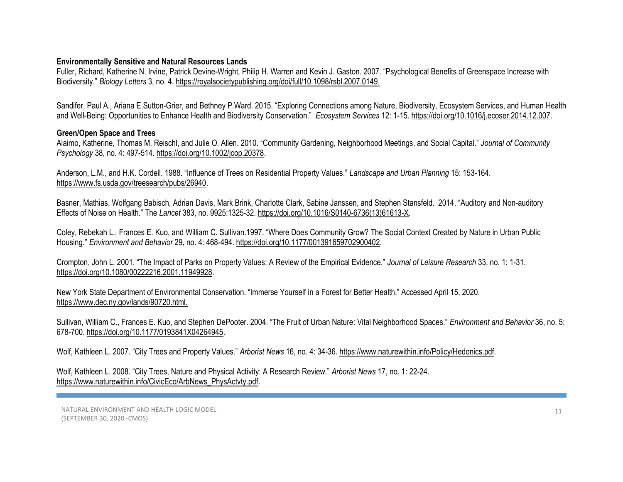### **Environmentally Sensitive and Natural Resources Lands**

Fuller, Richard, Katherine N. Irvine, Patrick Devine-Wright, Philip H. Warren and Kevin J. Gaston. 2007. "Psychological Benefits of Greenspace Increase with Biodiversity." *Biology Letters* 3, no. 4[. https://royalsocietypublishing.org/doi/full/10.1098/rsbl.2007.0149.](https://royalsocietypublishing.org/doi/full/10.1098/rsbl.2007.0149)

Sandifer, Paul A.[, Ariana E.Sutton-Grier, and Bethney P.Ward](https://www.sciencedirect.com/science/article/pii/S2212041614001648#!). 2015. "Exploring Connections among Nature, Biodiversity, Ecosystem Services, and Human Health and Well-Being: Opportunities to Enhance Health and Biodiversity Conservation." *Ecosystem Services* 12: 1-15. [https://doi.org/10.1016/j.ecoser.2014.12.007.](https://doi.org/10.1016/j.ecoser.2014.12.007)

### **Green/Open Space and Trees**

Alaimo, Katherine, Thomas M. Reischl, and Julie O. Allen. 2010. "Community Gardening, Neighborhood Meetings, and Social Capital." *Journal of Community Psychology* 38, no. 4: 497-514. [https://doi.org/10.1002/jcop.20378.](https://doi.org/10.1002/jcop.20378)

Anderson, L.M., and H.K. Cordell. 1988. "Influence of Trees on Residential Property Values." *Landscape and Urban Planning* 15: 153-164. [https://www.fs.usda.gov/treesearch/pubs/26940.](https://www.fs.usda.gov/treesearch/pubs/26940)

[Basner,](https://www.ncbi.nlm.nih.gov/pubmed/?term=Basner%20M%5BAuthor%5D&cauthor=true&cauthor_uid=24183105) Mathias, Wolfgang Babisch, Adrian Davis, Mark Brink, Charlotte Clark, Sabine Janssen, and Stephen Stansfeld. 2014. "Auditory and Non-auditory Effects of Noise on Health." The *Lancet* 383, no. 9925:1325-32. [https://doi.org/10.1016/S0140-6736\(13\)61613-X.](https://doi.org/10.1016/S0140-6736(13)61613-X)

Coley, Rebekah L., Frances E. Kuo, and William C. Sullivan.1997. "Where Does Community Grow? The Social Context Created by Nature in Urban Public Housing." *Environment and Behavior* 29, no. 4: 468-494. [https://doi.org/10.1177/001391659702900402.](https://doi.org/10.1177/001391659702900402)

Crompton, John L. 2001. "The Impact of Parks on Property Values: A Review of the Empirical Evidence." *Journal of Leisure Research* 33, no. 1: 1-31. [https://doi.org/10.1080/00222216.2001.11949928.](https://doi.org/10.1080/00222216.2001.11949928)

New York State Department of Environmental Conservation. "Immerse Yourself in a Forest for Better Health." Accessed April 15, 2020. <https://www.dec.ny.gov/lands/90720.html.>

Sullivan, William C., Frances E. Kuo, and Stephen DePooter. 2004. "The Fruit of Urban Nature: Vital Neighborhood Spaces." *Environment and Behavior* 36, no. 5: 678-700. [https://doi.org/10.1177/0193841X04264945.](https://doi.org/10.1177%2F0193841X04264945)

Wolf, Kathleen L. 2007. "City Trees and Property Values." *Arborist News* 16, no. 4: 34-36[. https://www.naturewithin.info/Policy/Hedonics.pdf.](https://www.naturewithin.info/Policy/Hedonics.pdf)

Wolf, Kathleen L. 2008. "City Trees, Nature and Physical Activity: A Research Review." *Arborist News* 17, no. 1: 22-24. [https://www.naturewithin.info/CivicEco/ArbNews\\_PhysActvty.pdf.](https://www.naturewithin.info/CivicEco/ArbNews_PhysActvty.pdf)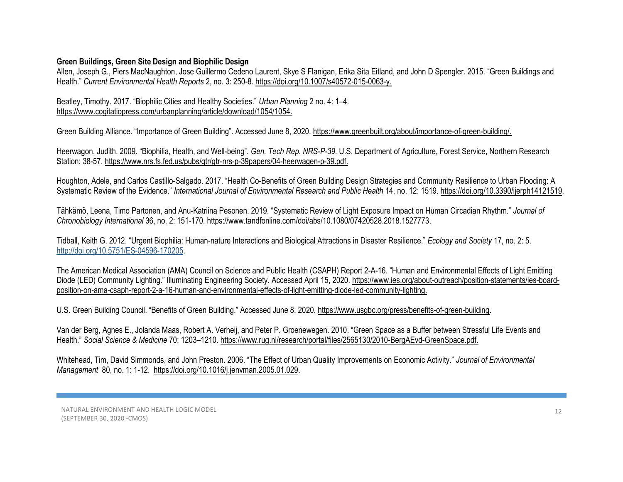# **Green Buildings, Green Site Design and Biophilic Design**

Allen, Joseph G., Piers MacNaughton, Jose Guillermo Cedeno Laurent, Skye S Flanigan, Erika Sita Eitland, and John D Spengler. 2015. "Green Buildings and Health." *Current Environmental Health Reports* 2, no. 3: 250-8. https://doi.org[/10.1007/s40572-015-0063-y.](https://doi.org/10.1007/s40572-015-0063-y) 

Beatley, Timothy. 2017. "Biophilic Cities and Healthy Societies." *Urban Planning* 2 no. 4: 1–4. [https://www.cogitatiopress.com/urbanplanning/article/download/1054/1054.](https://www.cogitatiopress.com/urbanplanning/article/download/1054/1054)

Green Building Alliance. "Importance of Green Building". Accessed June 8, 2020. [https://www.greenbuilt.org/about/importance-of-green-building/.](https://www.greenbuilt.org/about/importance-of-green-building/)

Heerwagon, Judith. 2009. "Biophilia, Health, and Well-being". *Gen. Tech Rep. NRS-P-39*. U.S. Department of Agriculture, Forest Service, Northern Research Station: 38-57. [https://www.nrs.fs.fed.us/pubs/gtr/gtr-nrs-p-39papers/04-heerwagen-p-39.pdf.](https://www.nrs.fs.fed.us/pubs/gtr/gtr-nrs-p-39papers/04-heerwagen-p-39.pdf)

Houghton, Adele, and Carlos Castillo-Salgado. 2017. "Health Co-Benefits of Green Building Design Strategies and Community Resilience to Urban Flooding: A Systematic Review of the Evidence." International Journal of Environmental Research and Public Health 14, no. 12: 1519. https://doi.org[/10.3390/ijerph14121519.](https://dx.doi.org/10.3390%2Fijerph14121519)

[Tähkämö,](https://www.tandfonline.com/author/T%C3%A4hk%C3%A4m%C3%B6%2C+Leena) Leena[, Timo Partonen,](https://www.tandfonline.com/author/Partonen%2C+Timo) an[d Anu-Katriina Pesonen](https://www.tandfonline.com/author/Pesonen%2C+Anu-Katriina). 2019. "Systematic Review of Light Exposure Impact on Human Circadian Rhythm." *Journal of Chronobiology International* 36, no. 2: 151-170. [https://www.tandfonline.com/doi/abs/10.1080/07420528.2018.1527773.](https://www.tandfonline.com/doi/abs/10.1080/07420528.2018.1527773)

Tidball, Keith G. 2012. "Urgent Biophilia: Human-nature Interactions and Biological Attractions in Disaster Resilience." *Ecology and Society* 17, no. 2: 5. [http://doi.org/10.5751/ES-04596-170205.](http://doi.org/10.5751/ES-04596-170205)

The American Medical Association (AMA) Council on Science and Public Health (CSAPH) Report 2-A-16. "Human and Environmental Effects of Light Emitting Diode (LED) Community Lighting." Illuminating Engineering Society. Accessed April 15, 2020[. https://www.ies.org/about-outreach/position-statements/ies-board](https://www.ies.org/about-outreach/position-statements/ies-board-position-on-ama-csaph-report-2-a-16-human-and-environmental-effects-of-light-emitting-diode-led-community-lighting)[position-on-ama-csaph-report-2-a-16-human-and-environmental-effects-of-light-emitting-diode-led-community-lighting.](https://www.ies.org/about-outreach/position-statements/ies-board-position-on-ama-csaph-report-2-a-16-human-and-environmental-effects-of-light-emitting-diode-led-community-lighting)

U.S. Green Building Council. "Benefits of Green Building." Accessed June 8, 2020. [https://www.usgbc.org/press/benefits-of-green-building.](https://www.usgbc.org/press/benefits-of-green-building)

Van der Berg, Agnes E., Jolanda Maas, Robert A. Verheij, and Peter P. Groenewegen. 2010. "Green Space as a Buffer between Stressful Life Events and Health." *Social Science & Medicine* 70: 1203–1210. [https://www.rug.nl/research/portal/files/2565130/2010-BergAEvd-GreenSpace.pdf.](https://www.rug.nl/research/portal/files/2565130/2010-BergAEvd-GreenSpace.pdf)

Whitehead, Tim, David Simmonds, and John Preston. 2006. "The Effect of Urban Quality Improvements on Economic Activity." *Journal of Environmental Management* 80, no. 1: 1-12. [https://doi.org/10.1016/j.jenvman.2005.01.029.](https://doi.org/10.1016/j.jenvman.2005.01.029)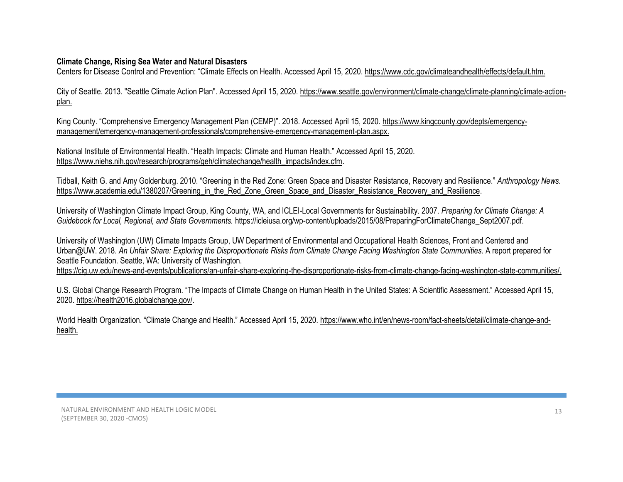# **Climate Change, Rising Sea Water and Natural Disasters**

Centers for Disease Control and Prevention: "[Climate Effects on Health.](https://www.tpchd.org/?splash=https%3a%2f%2fwww.cdc.gov%2fclimateandhealth%2feffects%2fdefault.htm&____isexternal=true) Accessed April 15, 2020. [https://www.cdc.gov/climateandhealth/effects/default.htm.](https://www.cdc.gov/climateandhealth/effects/default.htm)

City of Seattle. 2013. "Seattle Climate Action Plan". Accessed April 15, 2020. [https://www.seattle.gov/environment/climate-change/climate-planning/climate-action](https://www.seattle.gov/environment/climate-change/climate-planning/climate-action-plan)[plan.](https://www.seattle.gov/environment/climate-change/climate-planning/climate-action-plan)

King County. "Comprehensive Emergency Management Plan (CEMP)". 2018. Accessed April 15, 2020. [https://www.kingcounty.gov/depts/emergency](https://www.kingcounty.gov/depts/emergency-management/emergency-management-professionals/comprehensive-emergency-management-plan.aspx)[management/emergency-management-professionals/comprehensive-emergency-management-plan.aspx.](https://www.kingcounty.gov/depts/emergency-management/emergency-management-professionals/comprehensive-emergency-management-plan.aspx)

National Institute of Environmental Health. "Health Impacts: Climate and Human Health." Accessed April 15, 2020. [https://www.niehs.nih.gov/research/programs/geh/climatechange/health\\_impacts/index.cfm.](https://www.niehs.nih.gov/research/programs/geh/climatechange/health_impacts/index.cfm)

Tidball, Keith G. and Amy Goldenburg. 2010. "Greening in the Red Zone: Green Space and Disaster Resistance, Recovery and Resilience." *Anthropology News*. [https://www.academia.edu/1380207/Greening\\_in\\_the\\_Red\\_Zone\\_Green\\_Space\\_and\\_Disaster\\_Resistance\\_Recovery\\_and\\_Resilience.](https://www.academia.edu/1380207/Greening_in_the_Red_Zone_Green_Space_and_Disaster_Resistance_Recovery_and_Resilience)

University of Washington Climate Impact Group, King County, WA, and ICLEI-Local Governments for Sustainability. 2007. *Preparing for Climate Change: A Guidebook for Local, Regional, and State Governments.* [https://icleiusa.org/wp-content/uploads/2015/08/PreparingForClimateChange\\_Sept2007.pdf.](https://icleiusa.org/wp-content/uploads/2015/08/PreparingForClimateChange_Sept2007.pdf)

University of Washington (UW) Climate Impacts Group, UW Department of Environmental and Occupational Health Sciences, Front and Centered and Urban@UW. 2018. *An Unfair Share: Exploring the Disproportionate Risks from Climate Change Facing Washington State Communities*. A report prepared for Seattle Foundation. Seattle, WA: University of Washington.

[https://cig.uw.edu/news-and-events/publications/an-unfair-share-exploring-the-disproportionate-risks-from-climate-change-facing-washington-state-communities/.](https://cig.uw.edu/news-and-events/publications/an-unfair-share-exploring-the-disproportionate-risks-from-climate-change-facing-washington-state-communities/)

U.S. Global Change Research Program. "The Impacts of Climate Change on Human Health in the United States: A Scientific Assessment." Accessed April 15, 2020. [https://health2016.globalchange.gov/.](https://health2016.globalchange.gov/)

World Health Organization. "Climate Change and Health." Accessed April 15, 2020. [https://www.who.int/en/news-room/fact-sheets/detail/climate-change-and](https://www.who.int/en/news-room/fact-sheets/detail/climate-change-and-health)[health.](https://www.who.int/en/news-room/fact-sheets/detail/climate-change-and-health)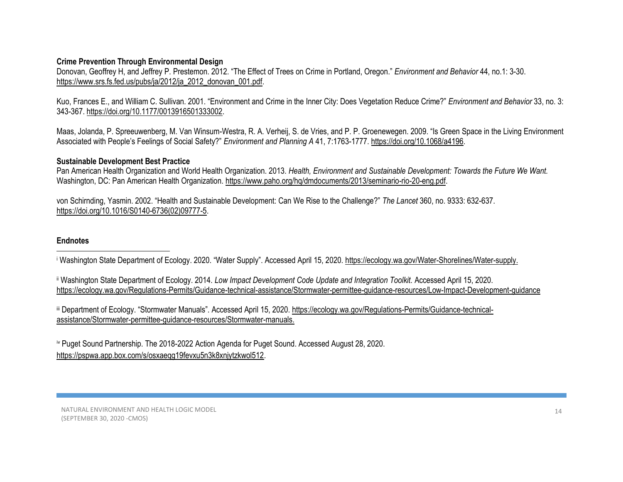## **Crime Prevention Through Environmental Design**

Donovan, Geoffrey H, and Jeffrey P. Prestemon. 2012. "The Effect of Trees on Crime in Portland, Oregon." *Environment and Behavior* 44, no.1: 3-30. [https://www.srs.fs.fed.us/pubs/ja/2012/ja\\_2012\\_donovan\\_001.pdf.](https://www.srs.fs.fed.us/pubs/ja/2012/ja_2012_donovan_001.pdf)

Kuo, Frances E., and William C. Sullivan. 2001. "Environment and Crime in the Inner City: Does Vegetation Reduce Crime?" *Environment and Behavior* 33, no. 3: 343-367. [https://doi.org/10.1177/0013916501333002.](https://doi.org/10.1177%2F0013916501333002)

Maas, Jolanda, P. Spreeuwenberg, M. Van Winsum-Westra, R. A. Verheij, S. de Vries, and P. P. Groenewegen. 2009. "Is Green Space in the Living Environment Associated with People's Feelings of Social Safety?" *Environment and Planning A* 41, 7:1763-1777[. https://doi.org/10.1068/a4196.](https://doi.org/10.1068%2Fa4196)

### **Sustainable Development Best Practice**

Pan American Health Organization and World Health Organization. 2013. *Health, Environment and Sustainable Development: Towards the Future We Want.*  Washington, DC: Pan American Health Organization[. https://www.paho.org/hq/dmdocuments/2013/seminario-rio-20-eng.pdf.](https://www.paho.org/hq/dmdocuments/2013/seminario-rio-20-eng.pdf)

von Schirnding, Yasmin. 2002. "Health and Sustainable Development: Can We Rise to the Challenge?" *The Lancet* 360, no. 9333: 632-637. [https://doi.org/10.1016/S0140-6736\(02\)09777-5.](https://doi.org/10.1016/S0140-6736(02)09777-5)

### **Endnotes**

<sup>i</sup> Washington State Department of Ecology. 2020. "Water Supply". Accessed April 15, 2020. [https://ecology.wa.gov/Water-Shorelines/Water-supply.](https://ecology.wa.gov/Water-Shorelines/Water-supply)

ii Washington State Department of Ecology. 2014. *Low Impact Development Code Update and Integration Toolkit.* Accessed April 15, 2020. <https://ecology.wa.gov/Regulations-Permits/Guidance-technical-assistance/Stormwater-permittee-guidance-resources/Low-Impact-Development-guidance>

iii Department of Ecology. "Stormwater Manuals". Accessed April 15, 2020. [https://ecology.wa.gov/Regulations-Permits/Guidance-technical](https://ecology.wa.gov/Regulations-Permits/Guidance-technical-assistance/Stormwater-permittee-guidance-resources/Stormwater-manuals)[assistance/Stormwater-permittee-guidance-resources/Stormwater-manuals.](https://ecology.wa.gov/Regulations-Permits/Guidance-technical-assistance/Stormwater-permittee-guidance-resources/Stormwater-manuals)

iv Puget Sound Partnership. The 2018-2022 Action Agenda for Puget Sound. Accessed August 28, 2020. https://pspwa.app.box.com/s/osxaeqq19fevxu5n3k8xnivtzkwol512.